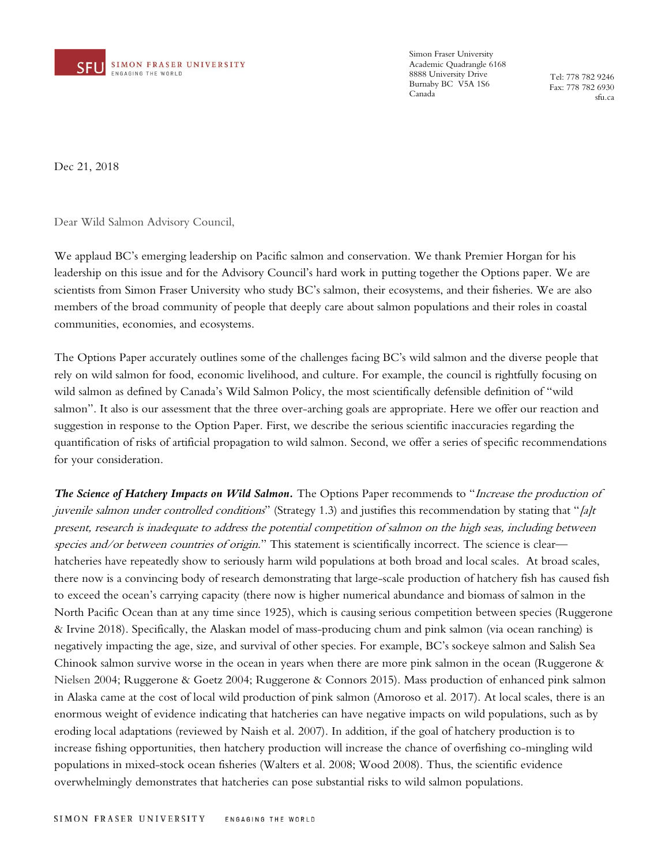

Simon Fraser University Academic Quadrangle 6168 8888 University Drive Burnaby BC V5A 1S6 Canada

Tel: 778 782 9246 Fax: 778 782 6930 sfu.ca

Dec 21, 2018

Dear Wild Salmon Advisory Council,

We applaud BC's emerging leadership on Pacific salmon and conservation. We thank Premier Horgan for his leadership on this issue and for the Advisory Council's hard work in putting together the Options paper. We are scientists from Simon Fraser University who study BC's salmon, their ecosystems, and their fisheries. We are also members of the broad community of people that deeply care about salmon populations and their roles in coastal communities, economies, and ecosystems.

The Options Paper accurately outlines some of the challenges facing BC's wild salmon and the diverse people that rely on wild salmon for food, economic livelihood, and culture. For example, the council is rightfully focusing on wild salmon as defined by Canada's Wild Salmon Policy, the most scientifically defensible definition of "wild salmon". It also is our assessment that the three over-arching goals are appropriate. Here we offer our reaction and suggestion in response to the Option Paper. First, we describe the serious scientific inaccuracies regarding the quantification of risks of artificial propagation to wild salmon. Second, we offer a series of specific recommendations for your consideration.

*The Science of Hatchery Impacts on Wild Salmon.* The Options Paper recommends to "Increase the production of juvenile salmon under controlled conditions" (Strategy 1.3) and justifies this recommendation by stating that " $\int a/t$ present, research is inadequate to address the potential competition of salmon on the high seas, including between species and/or between countries of origin." This statement is scientifically incorrect. The science is clear hatcheries have repeatedly show to seriously harm wild populations at both broad and local scales. At broad scales, there now is a convincing body of research demonstrating that large-scale production of hatchery fish has caused fish to exceed the ocean's carrying capacity (there now is higher numerical abundance and biomass of salmon in the North Pacific Ocean than at any time since 1925), which is causing serious competition between species (Ruggerone & Irvine 2018). Specifically, the Alaskan model of mass-producing chum and pink salmon (via ocean ranching) is negatively impacting the age, size, and survival of other species. For example, BC's sockeye salmon and Salish Sea Chinook salmon survive worse in the ocean in years when there are more pink salmon in the ocean (Ruggerone & Nielsen 2004; Ruggerone & Goetz 2004; Ruggerone & Connors 2015). Mass production of enhanced pink salmon in Alaska came at the cost of local wild production of pink salmon (Amoroso et al. 2017). At local scales, there is an enormous weight of evidence indicating that hatcheries can have negative impacts on wild populations, such as by eroding local adaptations (reviewed by Naish et al. 2007). In addition, if the goal of hatchery production is to increase fishing opportunities, then hatchery production will increase the chance of overfishing co-mingling wild populations in mixed-stock ocean fisheries (Walters et al. 2008; Wood 2008). Thus, the scientific evidence overwhelmingly demonstrates that hatcheries can pose substantial risks to wild salmon populations.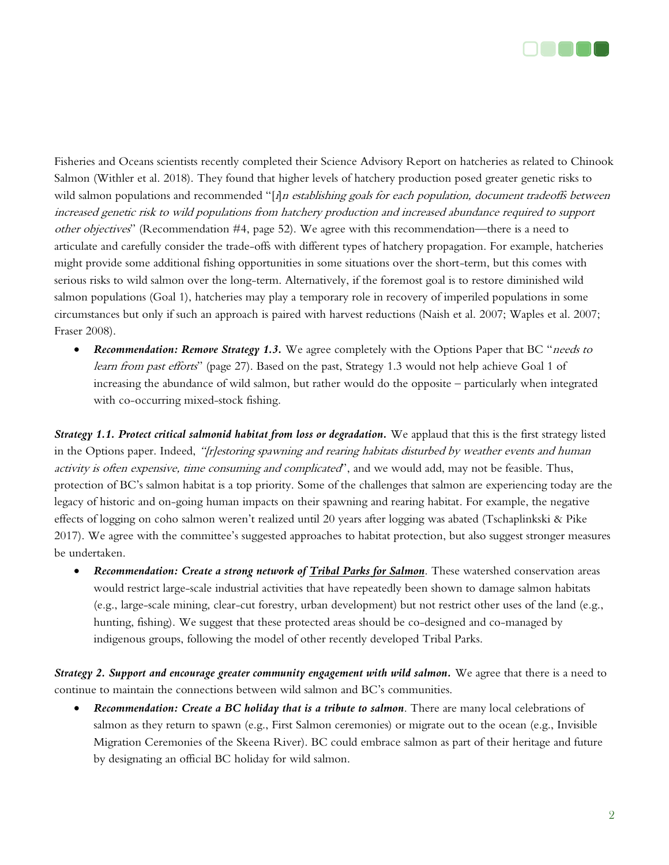

Fisheries and Oceans scientists recently completed their Science Advisory Report on hatcheries as related to Chinook Salmon (Withler et al. 2018). They found that higher levels of hatchery production posed greater genetic risks to wild salmon populations and recommended "[*i*]n establishing goals for each population, document tradeoffs between increased genetic risk to wild populations from hatchery production and increased abundance required to support other objectives" (Recommendation #4, page 52). We agree with this recommendation—there is a need to articulate and carefully consider the trade-offs with different types of hatchery propagation. For example, hatcheries might provide some additional fishing opportunities in some situations over the short-term, but this comes with serious risks to wild salmon over the long-term. Alternatively, if the foremost goal is to restore diminished wild salmon populations (Goal 1), hatcheries may play a temporary role in recovery of imperiled populations in some circumstances but only if such an approach is paired with harvest reductions (Naish et al. 2007; Waples et al. 2007; Fraser 2008).

• *Recommendation: Remove Strategy 1.3.* We agree completely with the Options Paper that BC "*needs to* learn from past efforts" (page 27). Based on the past, Strategy 1.3 would not help achieve Goal 1 of increasing the abundance of wild salmon, but rather would do the opposite – particularly when integrated with co-occurring mixed-stock fishing.

*Strategy 1.1. Protect critical salmonid habitat from loss or degradation.* **We applaud that this is the first strategy listed** in the Options paper. Indeed, "[r]estoring spawning and rearing habitats disturbed by weather events and human activity is often expensive, time consuming and complicated', and we would add, may not be feasible. Thus, protection of BC's salmon habitat is a top priority. Some of the challenges that salmon are experiencing today are the legacy of historic and on-going human impacts on their spawning and rearing habitat. For example, the negative effects of logging on coho salmon weren't realized until 20 years after logging was abated (Tschaplinkski & Pike 2017). We agree with the committee's suggested approaches to habitat protection, but also suggest stronger measures be undertaken.

• *Recommendation: Create a strong network of Tribal Parks for Salmon*. These watershed conservation areas would restrict large-scale industrial activities that have repeatedly been shown to damage salmon habitats (e.g., large-scale mining, clear-cut forestry, urban development) but not restrict other uses of the land (e.g., hunting, fishing). We suggest that these protected areas should be co-designed and co-managed by indigenous groups, following the model of other recently developed Tribal Parks.

*Strategy 2. Support and encourage greater community engagement with wild salmon.* **We agree that there is a need to** continue to maintain the connections between wild salmon and BC's communities.

• *Recommendation: Create a BC holiday that is a tribute to salmon*. There are many local celebrations of salmon as they return to spawn (e.g., First Salmon ceremonies) or migrate out to the ocean (e.g., Invisible Migration Ceremonies of the Skeena River). BC could embrace salmon as part of their heritage and future by designating an official BC holiday for wild salmon.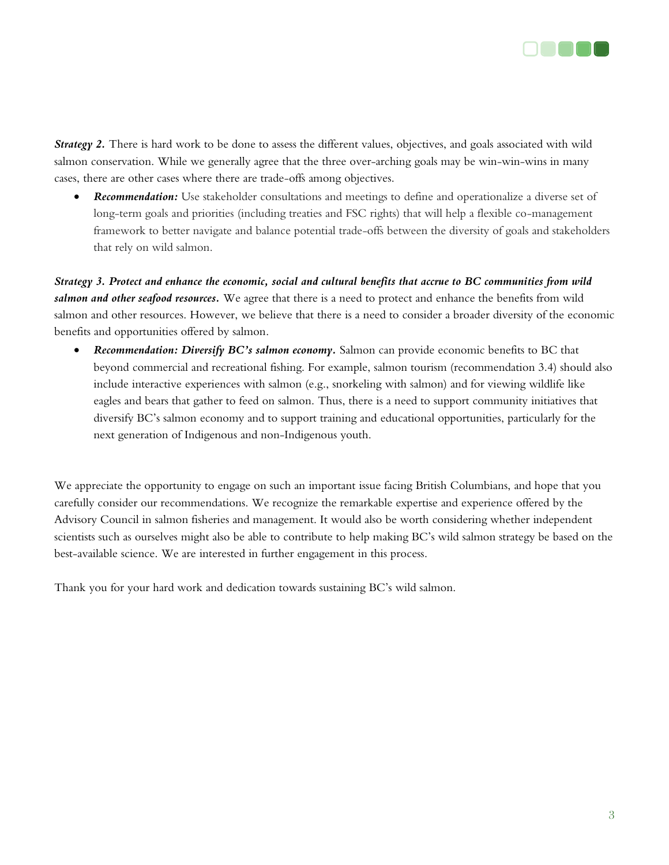

**Strategy 2.** There is hard work to be done to assess the different values, objectives, and goals associated with wild salmon conservation. While we generally agree that the three over-arching goals may be win-win-wins in many cases, there are other cases where there are trade-offs among objectives.

• *Recommendation:* Use stakeholder consultations and meetings to define and operationalize a diverse set of long-term goals and priorities (including treaties and FSC rights) that will help a flexible co-management framework to better navigate and balance potential trade-offs between the diversity of goals and stakeholders that rely on wild salmon.

*Strategy 3. Protect and enhance the economic, social and cultural benefits that accrue to BC communities from wild salmon and other seafood resources.* We agree that there is a need to protect and enhance the benefits from wild salmon and other resources. However, we believe that there is a need to consider a broader diversity of the economic benefits and opportunities offered by salmon.

• *Recommendation: Diversify BC's salmon economy.* Salmon can provide economic benefits to BC that beyond commercial and recreational fishing. For example, salmon tourism (recommendation 3.4) should also include interactive experiences with salmon (e.g., snorkeling with salmon) and for viewing wildlife like eagles and bears that gather to feed on salmon. Thus, there is a need to support community initiatives that diversify BC's salmon economy and to support training and educational opportunities, particularly for the next generation of Indigenous and non-Indigenous youth.

We appreciate the opportunity to engage on such an important issue facing British Columbians, and hope that you carefully consider our recommendations. We recognize the remarkable expertise and experience offered by the Advisory Council in salmon fisheries and management. It would also be worth considering whether independent scientists such as ourselves might also be able to contribute to help making BC's wild salmon strategy be based on the best-available science. We are interested in further engagement in this process.

Thank you for your hard work and dedication towards sustaining BC's wild salmon.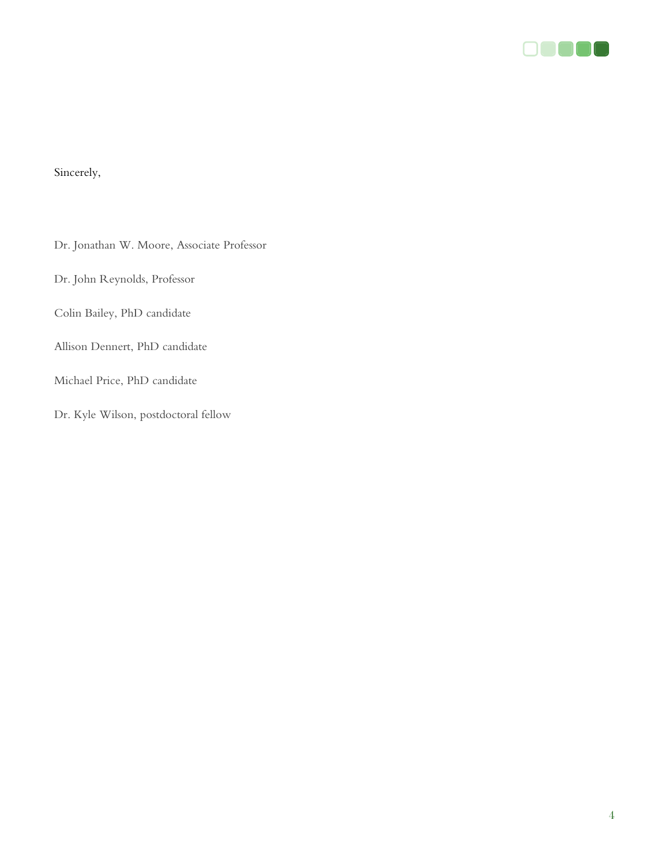

## Sincerely,

Dr. Jonathan W. Moore, Associate Professor

Dr. John Reynolds, Professor

Colin Bailey, PhD candidate

Allison Dennert, PhD candidate

Michael Price, PhD candidate

Dr. Kyle Wilson, postdoctoral fellow